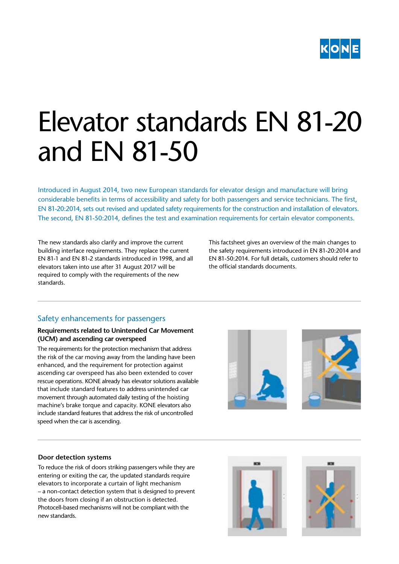

# Elevator standards EN 81-20 and EN 81-50

Introduced in August 2014, two new European standards for elevator design and manufacture will bring considerable benefits in terms of accessibility and safety for both passengers and service technicians. The first, EN 81-20:2014, sets out revised and updated safety requirements for the construction and installation of elevators. The second, EN 81-50:2014, defines the test and examination requirements for certain elevator components.

The new standards also clarify and improve the current building interface requirements. They replace the current EN 81-1 and EN 81-2 standards introduced in 1998, and all elevators taken into use after 31 August 2017 will be required to comply with the requirements of the new standards.

This factsheet gives an overview of the main changes to the safety requirements introduced in EN 81-20:2014 and EN 81-50:2014. For full details, customers should refer to the official standards documents.

# Safety enhancements for passengers

#### **Requirements related to Unintended Car Movement (UCM) and ascending car overspeed**

The requirements for the protection mechanism that address the risk of the car moving away from the landing have been enhanced, and the requirement for protection against ascending car overspeed has also been extended to cover rescue operations. KONE already has elevator solutions available that include standard features to address unintended car movement through automated daily testing of the hoisting machine's brake torque and capacity. KONE elevators also include standard features that address the risk of uncontrolled speed when the car is ascending.





## **Door detection systems**

To reduce the risk of doors striking passengers while they are entering or exiting the car, the updated standards require elevators to incorporate a curtain of light mechanism – a non-contact detection system that is designed to prevent the doors from closing if an obstruction is detected. Photocell-based mechanisms will not be compliant with the new standards.



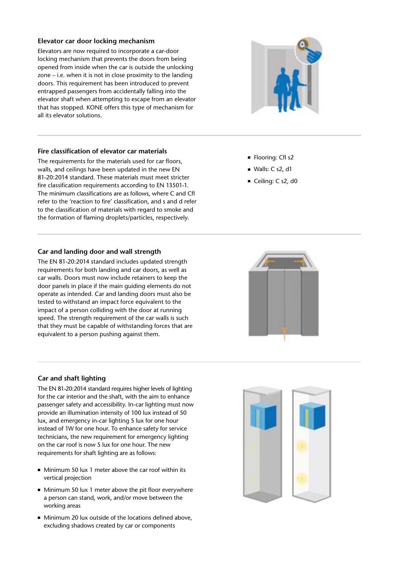## **Elevator car door locking mechanism**

Elevators are now required to incorporate a car-door locking mechanism that prevents the doors from being opened from inside when the car is outside the unlocking zone – i.e. when it is not in close proximity to the landing doors. This requirement has been introduced to prevent entrapped passengers from accidentally falling into the elevator shaft when attempting to escape from an elevator that has stopped. KONE offers this type of mechanism for all its elevator solutions.

## **Fire classification of elevator car materials**

The requirements for the materials used for car floors, walls, and ceilings have been updated in the new EN 81-20:2014 standard. These materials must meet stricter fire classification requirements according to EN 13501-1. The minimum classifications are as follows, where C and Cfl refer to the 'reaction to fire' classification, and s and d refer to the classification of materials with regard to smoke and the formation of flaming droplets/particles, respectively.

## **Car and landing door and wall strength**

The EN 81-20:2014 standard includes updated strength requirements for both landing and car doors, as well as car walls. Doors must now include retainers to keep the door panels in place if the main guiding elements do not operate as intended. Car and landing doors must also be tested to withstand an impact force equivalent to the impact of a person colliding with the door at running speed. The strength requirement of the car walls is such that they must be capable of withstanding forces that are equivalent to a person pushing against them.

## **Car and shaft lighting**

The EN 81-20:2014 standard requires higher levels of lighting for the car interior and the shaft, with the aim to enhance passenger safety and accessibility. In-car lighting must now provide an illumination intensity of 100 lux instead of 50 lux, and emergency in-car lighting 5 lux for one hour instead of 1W for one hour. To enhance safety for service technicians, the new requirement for emergency lighting on the car roof is now 5 lux for one hour. The new requirements for shaft lighting are as follows:

- Minimum 50 lux 1 meter above the car roof within its vertical projection
- Minimum 50 lux 1 meter above the pit floor everywhere a person can stand, work, and/or move between the working areas
- Minimum 20 lux outside of the locations defined above, excluding shadows created by car or components



- Flooring: Cfl s2
- Walls: C s2, d1
- Ceiling: C s2, d0



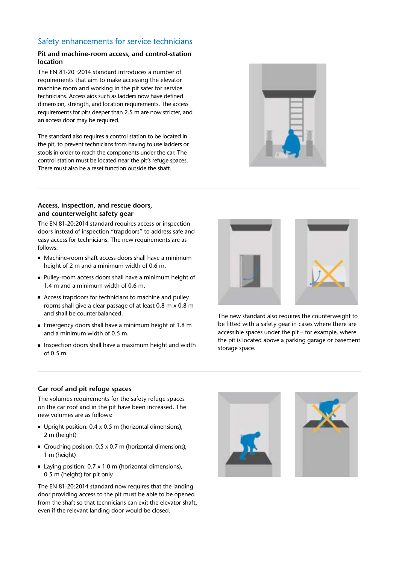## Safety enhancements for service technicians

## **Pit and machine-room access, and control-station location**

The EN 81-20 :2014 standard introduces a number of requirements that aim to make accessing the elevator machine room and working in the pit safer for service technicians. Access aids such as ladders now have defined dimension, strength, and location requirements. The access requirements for pits deeper than 2.5 m are now stricter, and an access door may be required.

The standard also requires a control station to be located in the pit, to prevent technicians from having to use ladders or stools in order to reach the components under the car. The control station must be located near the pit's refuge spaces. There must also be a reset function outside the shaft.



#### **Access, inspection, and rescue doors, and counterweight safety gear**

The EN 81-20:2014 standard requires access or inspection doors instead of inspection "trapdoors" to address safe and easy access for technicians. The new requirements are as follows:

- Machine-room shaft access doors shall have a minimum height of 2 m and a minimum width of 0.6 m.
- Pulley-room access doors shall have a minimum height of 1.4 m and a minimum width of 0.6 m.
- Access trapdoors for technicians to machine and pulley rooms shall give a clear passage of at least 0.8 m x 0.8 m and shall be counterbalanced.
- Emergency doors shall have a minimum height of 1.8 m and a minimum width of 0.5 m.
- Inspection doors shall have a maximum height and width of 0.5 m.



The new standard also requires the counterweight to be fitted with a safety gear in cases where there are accessible spaces under the pit – for example, where the pit is located above a parking garage or basement storage space.

#### **Car roof and pit refuge spaces**

The volumes requirements for the safety refuge spaces on the car roof and in the pit have been increased. The new volumes are as follows:

- Upright position: 0.4 x 0.5 m (horizontal dimensions), 2 m (height)
- Crouching position: 0.5 x 0.7 m (horizontal dimensions), 1 m (height)
- Laving position: 0.7 x 1.0 m (horizontal dimensions), 0.5 m (height) for pit only

The EN 81-20:2014 standard now requires that the landing door providing access to the pit must be able to be opened from the shaft so that technicians can exit the elevator shaft, even if the relevant landing door would be closed.